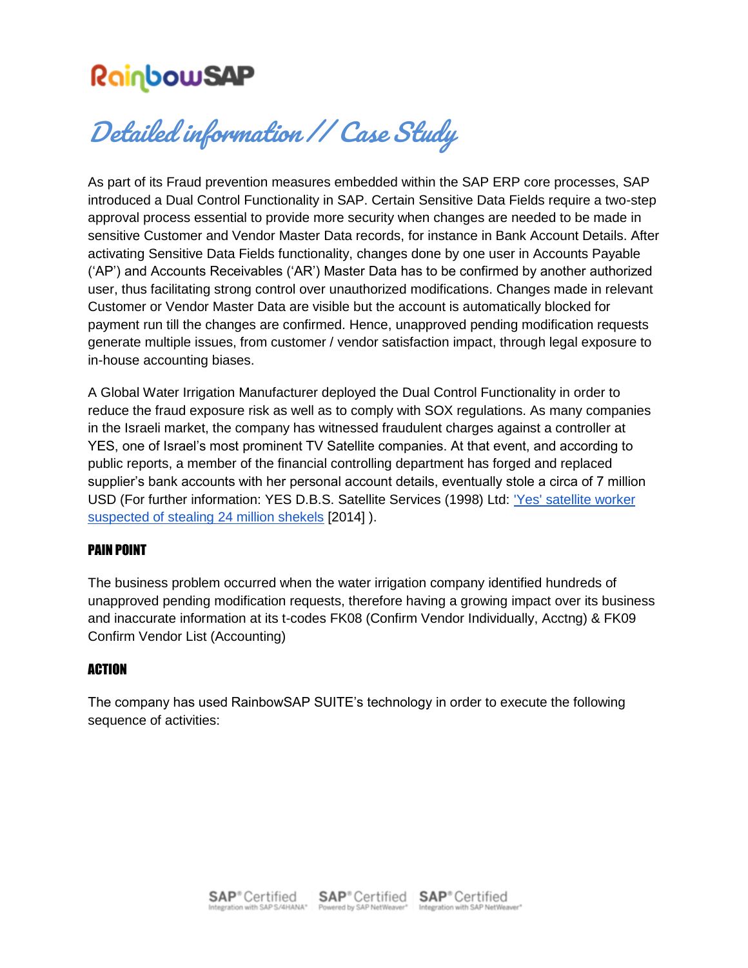# RainbowSAP<br>Detailed information // Case Study

As part of its Fraud prevention measures embedded within the SAP ERP core processes, SAP introduced a Dual Control Functionality in SAP. Certain Sensitive Data Fields require a two-step approval process essential to provide more security when changes are needed to be made in sensitive Customer and Vendor Master Data records, for instance in Bank Account Details. After activating Sensitive Data Fields functionality, changes done by one user in Accounts Payable ('AP') and Accounts Receivables ('AR') Master Data has to be confirmed by another authorized user, thus facilitating strong control over unauthorized modifications. Changes made in relevant Customer or Vendor Master Data are visible but the account is automatically blocked for payment run till the changes are confirmed. Hence, unapproved pending modification requests generate multiple issues, from customer / vendor satisfaction impact, through legal exposure to in-house accounting biases.

A Global Water Irrigation Manufacturer deployed the Dual Control Functionality in order to reduce the fraud exposure risk as well as to comply with SOX regulations. As many companies in the Israeli market, the company has witnessed fraudulent charges against a controller at YES, one of Israel's most prominent TV Satellite companies. At that event, and according to public reports, a member of the financial controlling department has forged and replaced supplier's bank accounts with her personal account details, eventually stole a circa of 7 million USD (For further information: YES D.B.S. Satellite Services (1998) Ltd: ['Yes' satellite worker](https://www.ynetnews.com/articles/0,7340,L-4488364,00.html)  [suspected of stealing 24 million shekels](https://www.ynetnews.com/articles/0,7340,L-4488364,00.html) [2014] ).

## PAIN POINT

The business problem occurred when the water irrigation company identified hundreds of unapproved pending modification requests, therefore having a growing impact over its business and inaccurate information at its t-codes FK08 (Confirm Vendor Individually, Acctng) & FK09 Confirm Vendor List (Accounting)

### ACTION

The company has used RainbowSAP SUITE's technology in order to execute the following sequence of activities: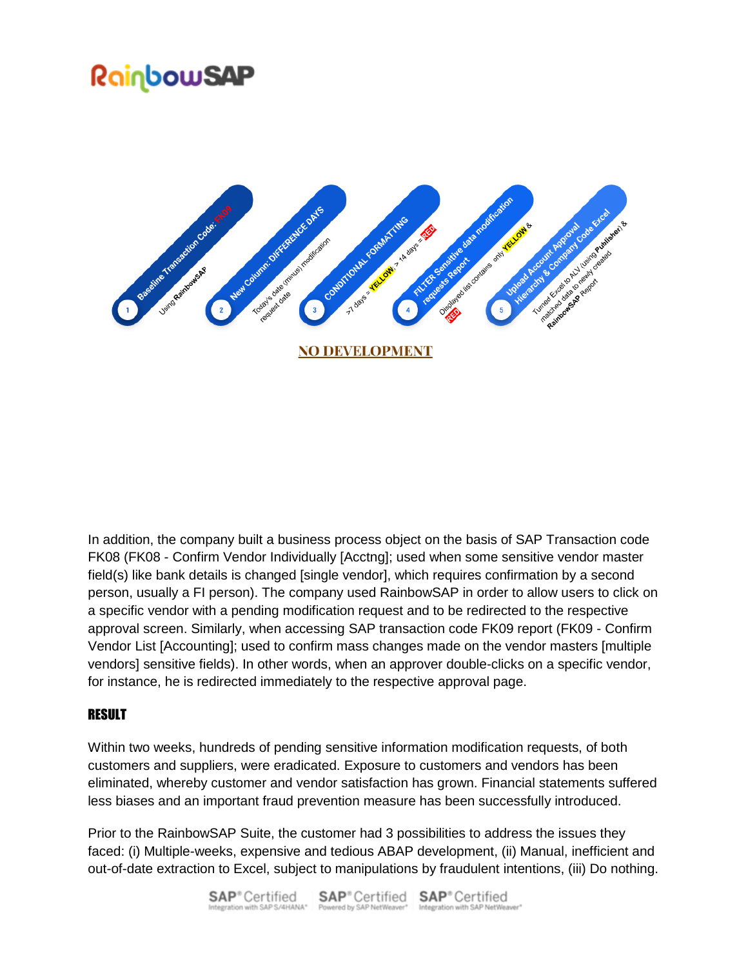## <u>RainbowSAP</u>



In addition, the company built a business process object on the basis of SAP Transaction code FK08 (FK08 - Confirm Vendor Individually [Acctng]; used when some sensitive vendor master field(s) like bank details is changed [single vendor], which requires confirmation by a second person, usually a FI person). The company used RainbowSAP in order to allow users to click on a specific vendor with a pending modification request and to be redirected to the respective approval screen. Similarly, when accessing SAP transaction code FK09 report (FK09 - Confirm Vendor List [Accounting]; used to confirm mass changes made on the vendor masters [multiple vendors] sensitive fields). In other words, when an approver double-clicks on a specific vendor, for instance, he is redirected immediately to the respective approval page.

### **RESULT**

Within two weeks, hundreds of pending sensitive information modification requests, of both customers and suppliers, were eradicated. Exposure to customers and vendors has been eliminated, whereby customer and vendor satisfaction has grown. Financial statements suffered less biases and an important fraud prevention measure has been successfully introduced.

Prior to the RainbowSAP Suite, the customer had 3 possibilities to address the issues they faced: (i) Multiple-weeks, expensive and tedious ABAP development, (ii) Manual, inefficient and out-of-date extraction to Excel, subject to manipulations by fraudulent intentions, (iii) Do nothing.